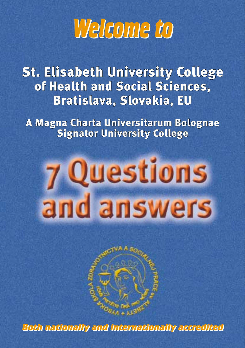

St. Elisabeth University College of Health and Social Sciences, Bratislava, Slovakia, EU

A Magna Charta Universitarum Bolognae Signator University College

# **7 Questions** and answers

**Both nationally and internationally accredited Both nationally and internationally accredited**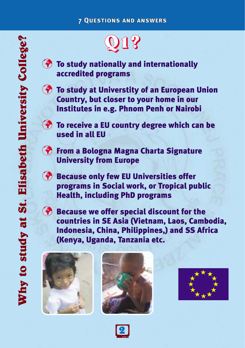# **Q1?**

- **<sup>3</sup>** To study nationally and internationally accredited programs
- **To study at Universtity of an European Union** Country, but closer to your home in our Institutes in e.g. Phnom Penh or Nairobi
- **To receive a EU country degree which can be** used in all EU
- **The From a Bologna Magna Charta Signature** University from Europe
- **<sup>3</sup>** Because only few EU Universities offer programs in Social work, or Tropical public Health, including PhD programs
- **Because we offer special discount for the** countries in SE Asia (Vietnam, Laos, Cambodia, Indonesia, China, Philippines,) and SS Africa (Kenya, Uganda, Tanzania etc.





**<sup>2</sup>**



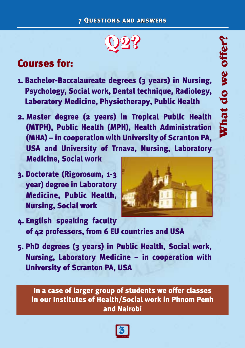

# Courses for:

- 1. Bachelor-Baccalaureate degrees (3 years) in Nursing, Psychology, Social work, Dental technique, Radiology, Laboratory Medicine, Physiotherapy, Public Health
- 2. Master degree (2 years) in Tropical Public Health (MTPH), Public Health (MPH), Health Administration (MHA) – in cooperation with University of Scranton PA, USA and University of Trnava, Nursing, Laboratory Medicine, Social work
- 3. Doctorate (Rigorosum, 1-3 year) degree in Laboratory Medicine, Public Health, Nursing, Social work



- 4. English speaking faculty of 42 professors, from 6 EU countries and USA
- 5. PhD degrees (3 years) in Public Health, Social work, Nursing, Laboratory Medicine – in cooperation with University of Scranton PA, USA

In a case of larger group of students we offer classes in our Institutes of Health/Social work in Phnom Penh and Nairobi

**<sup>3</sup>**

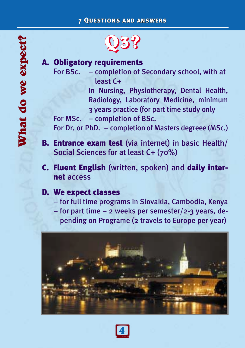# **Q3?**

# A. Obligatory requirements

For BSc. – completion of Secondary school, with at least C+

> In Nursing, Physiotherapy, Dental Health, Radiology, Laboratory Medicine, minimum 3 years practice (for part time study only

For MSc. – completion of BSc.

For Dr. or PhD. – completion of Masters degreee (MSc.)

- B. Entrance exam test (via internet) in basic Health/ Social Sciences for at least C+ (70%)
- C. Fluent English (written, spoken) and daily internet access

## D. We expect classes

- for full time programs in Slovakia, Cambodia, Kenya
- for part time 2 weeks per semester/2-3 years, depending on Programe (2 travels to Europe per year)



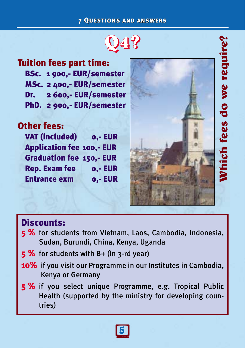### 7 Questions and answers





Thich fees do we require

# Discounts:

- 5 % for students from Vietnam, Laos, Cambodia, Indonesia, Sudan, Burundi, China, Kenya, Uganda
- $5\%$  for students with B+ (in 3-rd year)
- **10%** if you visit our Programme in our Institutes in Cambodia, Kenya or Germany
- 5 % if you select unique Programme, e.g. Tropical Public Health (supported by the ministry for developing countries)

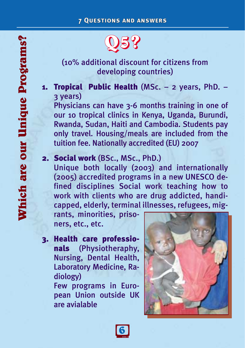# **Q5?**

# (10% additional discount for citizens from developing countries)

1. Tropical Public Health (MSc. – 2 years, PhD. – 3 years)

Physicians can have 3-6 months training in one of our 10 tropical clinics in Kenya, Uganda, Burundi, Rwanda, Sudan, Haiti and Cambodia. Students pay only travel. Housing/meals are included from the tuition fee. Nationally accredited (EU) 2007

# 2. Social work (BSc., MSc., PhD.)

Unique both locally (2003) and internationally (2005) accredited programs in a new UNESCO defined disciplines Social work teaching how to work with clients who are drug addicted, handicapped, elderly, terminal illnesses, refugees, mig-

rants, minorities, prisoners, etc., etc.

3. Health care professionals (Physiotheraphy, Nursing, Dental Health, Laboratory Medicine, Radiology)

Few programs in European Union outside UK are avialable



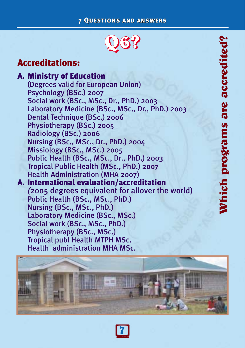## 7 Questions and answers



# Accreditations:

A. Ministry of Education (Degrees valid for European Union) Psychology (BSc.) 2007 Social work (BSc., MSc., Dr., PhD.) 2003 Laboratory Medicine (BSc., MSc., Dr., PhD.) 2003 Dental Technique (BSc.) 2006 Physiotherapy (BSc.) 2005 Radiology (BSc.) 2006 Nursing (BSc., MSc., Dr., PhD.) 2004 Missiology (BSc., MSc.) 2005 Public Health (BSc., MSc., Dr., PhD.) 2003 Tropical Public Health (MSc., PhD.) 2007 Health Administration (MHA 2007) A. International evaluation/accreditation *(*2005 degrees equivalent for allover the world) Public Health (BSc., MSc., PhD.) Nursing (BSc., MSc., PhD.) Laboratory Medicine (BSc., MSc.) Social work (BSc., MSc., PhD.) Physiotherapy (BSc., MSc.) Tropical publ Health MTPH MSc. Health administration MHA MSc.



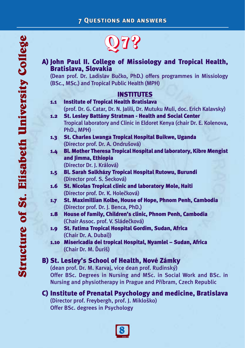A) John Paul II. College of Missiology and Tropical Health, Bratislava, Slovakia

(Dean prof. Dr. Ladislav Bučko, PhD.) offers programmes in Missiology (BSc., MSc.) and Tropical Public Health (MPH)

## INSTITUTES

1.1 Institute of Tropical Health Bratislava (prof. Dr. G. Catar, Dr. N. Jalili, Dr. Mutuku Muli, doc. Erich Kalavsky) 1.2 St. Lesley Battány Stratman - Health and Social Center Tropical laboratory and Clinic in Eldoret Kenya (chair Dr. E. Kolenova, PhD., MPH) 1.3 St. Charles Lwanga Tropical Hospital Buikwe, Uganda (Director prof. Dr. A. Ondrušová) 1.4 Bl. Mother Theresa Tropical Hospital and laboratory, Kibre Mengist and Jimma, Ethiopia

(Director Dr. J. Králová)

- 1.5 Bl. Sarah Salkházy Tropical Hospital Rutowu, Burundi (Director prof. S. Šecková)
- 1.6 St. Nicolas Tropical clinic and laboratory Mole, Haiti (Director prof. Dr. K. Holečková)
- 1.7 St. Maximillian Kolbe, House of Hope, Phnom Penh, Cambodia (Director prof. Dr. J. Benca, PhD.)
- 1.8 House of Family, Children's clinic, Phnom Penh, Cambodia (Chair Assoc. prof. V. Sládečková)
- 1.9 St. Fatima Tropical Hospital Gordim, Sudan, Africa (Chair Dr. A. Dubai))
- 1.10 Misericadia dei tropical Hospital, Nyamlel Sudan, Africa (Chair Dr. M. Ďuriš)

## B) St. Lesley's School of Health, Nové Zámky

(dean prof. Dr. M. Karvaj, vice dean prof. Rudinský) Offer BSc. Degrees in Nursing and MSc. in Social Work and BSc. in Nursing and physiotherapy in Prague and Příbram, Czech Republic

### C) Institute of Prenatal Psychology and medicine, Bratislava (Director prof. Freybergh, prof. J. Mikloško) Offer BSc. degrees in Psychology

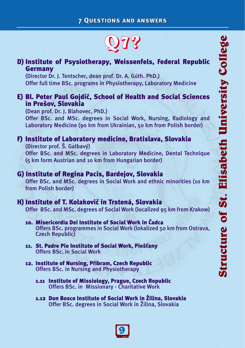

## D) Institute of Psysiotherapy, Weissenfels, Federal Republic Germany

(Director Dr. J. Tentscher, dean prof. Dr. A. Gúth. PhD.) Offer full time BSc. programs in Physiotherapy, Laboratory Medicine

## E) Bl. Peter Paul Gojdič, School of Health and Social Sciences in Prešov, Slovakia

(Dean prof. Dr. J. Blahovec, PhD.) Offer BSc. and MSc. degrees in Social Work, Nursing, Radiology and Laboratory Medicine (90 km from Ukrainian, 50 km from Polish border)

### F) Institute of Laboratory medicine, Bratislava, Slovakia (Director prof. Š. Galbavý)

Offer BSc. and MSc. degrees in Laboratory Medicine, Dental Technique (5 km form Austrian and 10 km from Hungarian border)

## G) Institute of Regina Pacis, Bardejov, Slovakia

Offer BSc. and MSc. degrees in Social Work and ethnic minorities (10 km from Polish border)

## H) Institute of T. Kolakovič in Trstená, Slovakia

Offer BSc. and MSc. degrees of Social Work (localized 95 km from Krakow)

- 10. Misericordia Dei Institute of Social Work in Čadca Offers BSc. programmes in Social Work (lokalized 50 km from Ostrava, Czech Republic)
- 11. St. Padre Pio Institute of Social Work, Piešťany Offers BSc. in Social Work
- 12. Institute of Nursing, Příbram, Czech Republic Offers BSc. in Nursing and Physiotherapy
	- 1.11 Institute of Missiology, Prague, Czech Republic Offers BSc. in Missionary - Charitative Work
	- 1.12 Don Bosco Institute of Social Work in Žilina, Slovakia Offer BSc. degrees in Social Work in Žilina, Slovakia

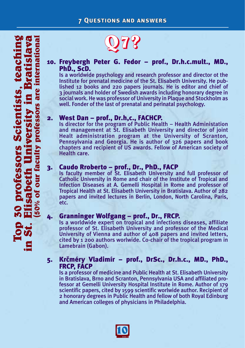### 10. Freybergh Peter G. Fedor – prof., Dr.h.c.mult., MD., PhD., ScD.

Is a worldwide psychology and research professor and director ot the Institute for prenatal medicine of the St. Elisabeth University. He published 12 books and 220 papers journals. He is editor and chief of 3 journals and holder of Swedish awards including honorary degree in social work. He was professor of University in Plaque and Stockholm as well. Fonder of the last of prenatal and perinatal psychology.

2. West Dan – prof., Dr.h,c., FACHCP.<br>Is director for the program of Public Health – Health Administation and management at St. Elisabeth University and director of joint Healt administration program at the University of Scranton, Pennsylvania and Georgia. He is author of 326 papers and book chapters and recipient of US awards. Fellow of American society of Health care.

3. **Caudo Rroberto – prof., Dr., PhD., FACP**<br>Is faculty member of St. Elisabeth University and full professor of Catholic University in Rome and chair of the Institute of Tropical and Infection Diseases at A. Gemelli Hospital in Rome and professor of Tropical Health at St. Elisabeth University in Bratislava. Author of 282 papers and invited lectures in Berlin, London, North Carolina, Paris, etc.

4. Granninger Wolfgang – prof., Dr., FRCP. Is a worldwide expert on tropical and infections diseases, affiliate professor of St. Elisabeth University and professor of the Medical University of Vienna and author of 408 papers and invited letters, cited by 1 200 authors worlwide. Co-chair of the tropical program in Lamebrain (Gabon).

### 5. Krčméry Vladimír – prof., DrSc., Dr.h.c., MD., PhD., FRCP, FACP

Is a professor of medicine and Public Health at St. Elisabeth University in Bratislava, Brno and Scranton, Pennsylvania USA and affiliated professor at Gemelli University Hospital Institute in Rome. Author of 179 scientific papers, cited by 1599 scientific worlwide author. Recipient of 2 honorary degrees in Public Health and fellow of both Royal Edinburg and American colleges of physicians in Philadelphia.

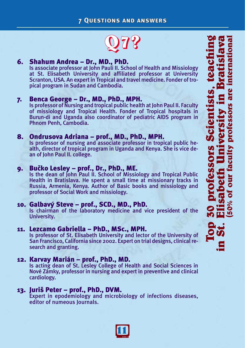

### 6. Shahum Andrea – Dr., MD., PhD.

Is associate professor at John Pauli II. School of Health and Missiology at St. Elisabeth University and affiliated professor at University Scranton, USA. An expert in Tropical and travel medicine. Fonder of tropical program in Sudan and Cambodia.

### 7. Benca George – Dr., MD., PhD., MPH.

Is professor of Nursing and tropical public health at John Paul II. Faculty of missiology and Tropical Health. Fonder of Tropical hospitals in Burun-di and Uganda also coordinator of pediatric AIDS program in Phnom Penh, Cambodia.

# 8. **Ondrusova Adriana – prof., MD., PhD., MPH.**<br>Is professor of nursing and associate professor in tropical public he-

alth, director of tropical program in Uganda and Kenya. She is vice dean of John Paul II. college.

9. Bučko Lesley – prof., Dr., PhD., ME.<br>Is the dean of John Paul II. School of Missiology and Tropical Public Health in Bratislava. He spent a small time at missionary tracks in Russia, Armenia, Kenya. Author of Basic books and missiology and professor of Social Work and missiology.

# 10. Galbavý Steve – prof., SCD., MD., PhD.<br>Is chairman of the laboratory medicine and vice president of the

University.

### 11. Lezcamo Gabriella – PhD., MSc., MPH.

Is professor of St. Elisabeth University and lector of the University of San Francisco, California since 2002. Expert on trial designs, clinical research and granting.

12. Karvay Marián – prof., PhD., MD.<br>Is acting dean of St. Lesley College of Health and Social Sciences in Nové Zámky, professor in nursing and expert in preventive and clinical cardiology.

**13. Juriš Peter – prof., PhD., DVM.** Expert in epodemiology and microbiology of infections diseases, editor of numeous Journals.

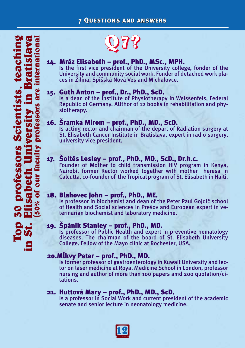# 14. Mráz Elisabeth – prof., PhD., MSc., MPH. Is the first vice president of the University college, fonder of the

University and community social work. Fonder of detached work places in Žilina, Spišská Nová Ves and Michalovce.

15. Guth Anton – prof., Dr., PhD., ScD.<br>Is a dean of the Institute of Physiotherapy in Weissenfels, Federal Republic of Germany. AUthor of 12 books in rehabilitation and physiotherapy.

# 16. Šramka Mirom – prof., PhD., MD., ScD. Is acting rector and chairman of the depart of Radiation surgery at

St. Elisabeth Cancer Institute in Bratislava, expert in radio surgery, university vice president.

# 17. **Soltés Lesley – prof., PhD., MD., ScD., Dr.h.c.** Founder of Mother to child transmission HIV program in Kenya,

Nairobi, former Rector worked together with mother Theresa in Calcutta, co-founder of the Tropical program of St. Elisabeth in Haiti.

18. Blahovec John – prof., PhD., ME.<br>Is professor in biochemist and dean of the Peter Paul Gojdič school of Health and Social sciences in Prešov and European expert in veterinarian biochemist and laboratory medicine.

19. Špánik Stanley – prof., PhD., MD.<br>Is professor of Public Health and expert in preventive hematology diseases. The chairman of the board of St. Elisabeth University College. Fellow of the Mayo clinic at Rochester, USA.

20. MURICALL PETER – prof., PhD., MD.<br>Is former professor of gastroenterology in Kuwait University and lector on laser medicine at Royal Medicine School in London, professor nursing and author of more than 100 papers amd 200 quotation/citations.

21. Huttová Mary – prof., PhD., MD., ScD. Is a professor in Social Work and current president of the academic senate and senior lecture in neonatology medicine.

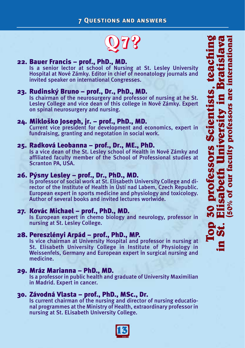

**22. Bauer Francis – prof., PhD., MD.**<br>Is a senior lector at school of Nursing at St. Lesley University Hospital at Nové Zámky. Editor in chief of neonatology journals and invited speaker on international Congresses.

23. Rudinský Bruno – prof., Dr., PhD., MD.<br>Is chairman of the neurosurgery and professor of nursing at he St. Lesley College and vice dean of this college in Nové Zámky. Expert on spinal neurosurgery and nursing.

24. Mikloško Joseph, jr. – prof., PhD., MD.<br>Current vice president for development and economics, expert in fundraising, granting and negotation in social work.

# 25. Radková Leobanna – prof., Dr., ME., PhD. Is a vice dean of the St. Lesley school of Health in Nové Zámky and

affiliated faculty member of the School of Professional studies at Scranton PA, USA.

26. Pýsny Lesley – prof., Dr., PhD., MD. Is professor of social work at St. Elisabeth University College and director of the Institute of Health in Ústí nad Labem, Czech Republic. European expert in sports medicine and physiology and toxicology. Author of several books and invited lectures worlwide.

27. Kovác Michael – prof., PhD., MD.<br>Is European expert in chemo biology and neurology, professor in nursing at St. Lesley College.

28. Pereszlényi Arpád – prof., PhD., MP.<br>Is vice chairman at University Hospital and professor in nursing at St. Elisabeth University College in Institute of Physiology in Weissenfels, Germany and European expert in surgical nursing and medicine.

### 29. Mráz Marianna – PhD., MD.

Is a professor in public health and graduate of University Maximilian in Madrid. Expert in cancer.

30. Závodná Vlasta – prof., PhD., MSc., Dr.<br>Is current chairman of the nursing and director of nursing educational programmes at the Ministry of Health, extraordinary professor in nursing at St. ELisabeth University College.

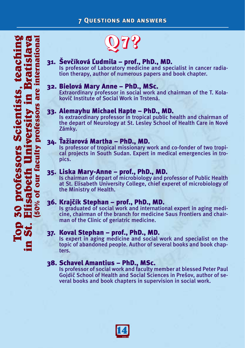# 31. Ševčíková Ľudmila – prof., PhD., MD.<br>Is professor of Laboratory medicine and specialist in cancer radia-

tion therapy, author of numerous papers and book chapter.

32. Bielová Mary Anne – PhD., MSc.<br>Extraordinary professor in social work and chairman of the T. Kolakovič Institute of Social Work in Trstená.

33. Alemayhu Michael Hapte – PhD., MD.<br>Is extraordinary professor in tropical public health and chairman of the depart of Neurology at St. Lesley School of Health Care in Nové Zámky.

## 34. Ťažiarová Martha – PhD., MD.

Is professor of tropical missionary work and co-fonder of two tropical projects in South Sudan. Expert in medical emergencies in tropics.

35. Liska Mary-Anne – prof., PhD., MD. Is chairman of depart of microbiology and professor of Public Health at St. Elisabeth University College, chief experet of microbiology of the Ministry of Health.

36. Krajčík Stephan – prof., PhD., MD. Is graduated of social work and international expert in aging medicine, chairman of the branch for medicine Saus Frontiers and chairman of the Clinic of geriatric medicine.

37. Koval Stephan – prof., PhD., MD. Is expert in aging medicine and social work and specialist on the topic of abandoned people. Author of several books and book chapters.

### 38. Schavel Amantius – PhD., MSc.

Is professor of social work and faculty member at blessed Peter Paul Gojdič School of Health and Social Sciences in Prešov, author of several books and book chapters in supervision in social work.

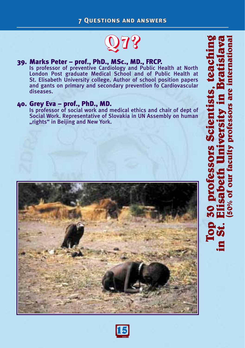7 Questions and answers



39. Marks Peter – prof., PhD., MSc., MD., FRCP. Is professor of preventive Cardiology and Public Health at North London Post graduate Medical School and of Public Health at St. Elisabeth University college. Author of school position papers and gants on primary and secondary prevention fo Cardiovascular diseases.

40. Grey Eva – prof., PhD., MD. Is professor of social work and medical ethics and chair of dept of Social Work. Representative of Slovakia in UN Assembly on human "rights" in Beijing and New York.